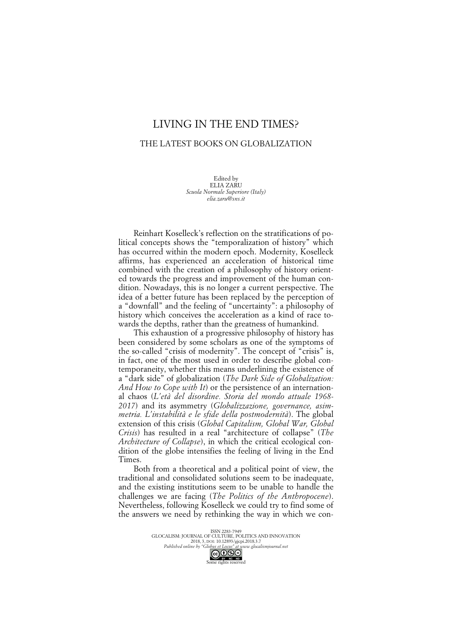## LIVING IN THE END TIMES?

## THE LATEST BOOKS ON GLOBALIZATION

Edited by ELIA ZARU *Scuola Normale Superiore (Italy) elia.zaru@sns.it*

Reinhart Koselleck's reflection on the stratifications of political concepts shows the "temporalization of history" which has occurred within the modern epoch. Modernity, Koselleck affirms, has experienced an acceleration of historical time combined with the creation of a philosophy of history oriented towards the progress and improvement of the human condition. Nowadays, this is no longer a current perspective. The idea of a better future has been replaced by the perception of a "downfall" and the feeling of "uncertainty": a philosophy of history which conceives the acceleration as a kind of race towards the depths, rather than the greatness of humankind.

This exhaustion of a progressive philosophy of history has been considered by some scholars as one of the symptoms of the so-called "crisis of modernity". The concept of "crisis" is, in fact, one of the most used in order to describe global contemporaneity, whether this means underlining the existence of a "dark side" of globalization (*The Dark Side of Globalization: And How to Cope with It*) or the persistence of an international chaos (*L'età del disordine. Storia del mondo attuale 1968- 2017*) and its asymmetry (*Globalizzazione, governance, asimmetria. L'instabilità e le sfide della postmodernità*). The global extension of this crisis (*Global Capitalism, Global War, Global Crisis*) has resulted in a real "architecture of collapse" (*The Architecture of Collapse*), in which the critical ecological condition of the globe intensifies the feeling of living in the End Times.

Both from a theoretical and a political point of view, the traditional and consolidated solutions seem to be inadequate, and the existing institutions seem to be unable to handle the challenges we are facing (*The Politics of the Anthropocene*). Nevertheless, following Koselleck we could try to find some of the answers we need by rethinking the way in which we con-

> ISSN 2283-7949 1551N 2263-1747<br>GLOCALISM: JOURNAL OF CULTURE, POLITICS AND INNOVATION 2018, 3, DOI: 10.12893/gjcpi.2018.3.7 *Published online by "Globus et Locus" at www.glocalismjournal.net*

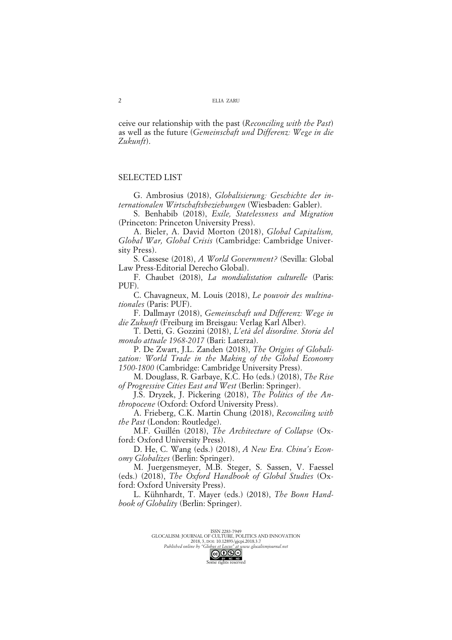ceive our relationship with the past (*Reconciling with the Past*) as well as the future (*Gemeinschaft und Differenz: Wege in die Zukunft*).

## SELECTED LIST

G. Ambrosius (2018), *Globalisierung: Geschichte der internationalen Wirtschaftsbeziehungen* (Wiesbaden: Gabler).

S. Benhabib (2018), *Exile, Statelessness and Migration* (Princeton: Princeton University Press).

A. Bieler, A. David Morton (2018), *Global Capitalism, Global War, Global Crisis* (Cambridge: Cambridge University Press).

S. Cassese (2018), *A World Government?* (Sevilla: Global Law Press-Editorial Derecho Global).

F. Chaubet (2018), *La mondialistation culturelle* (Paris: PUF).

C. Chavagneux, M. Louis (2018), *Le pouvoir des multinationales* (Paris: PUF).

F. Dallmayr (2018), *Gemeinschaft und Differenz: Wege in die Zukunft* (Freiburg im Breisgau: Verlag Karl Alber).

T. Detti, G. Gozzini (2018), *L'età del disordine. Storia del mondo attuale 1968-2017* (Bari: Laterza).

P. De Zwart, J.L. Zanden (2018), *The Origins of Globalization: World Trade in the Making of the Global Economy 1500-1800* (Cambridge: Cambridge University Press).

M. Douglass, R. Garbaye, K.C. Ho (eds.) (2018), *The Rise of Progressive Cities East and West* (Berlin: Springer).

J.S. Dryzek, J. Pickering (2018), *The Politics of the Anthropocene* (Oxford: Oxford University Press).

A. Frieberg, C.K. Martin Chung (2018), *Reconciling with the Past* (London: Routledge).

M.F. Guillén (2018), *The Architecture of Collapse* (Oxford: Oxford University Press).

D. He, C. Wang (eds.) (2018), *A New Era. China's Economy Globalizes* (Berlin: Springer).

M. Juergensmeyer, M.B. Steger, S. Sassen, V. Faessel (eds.) (2018), *The Oxford Handbook of Global Studies* (Oxford: Oxford University Press).

L. Kühnhardt, T. Mayer (eds.) (2018), *The Bonn Handbook of Globality* (Berlin: Springer).